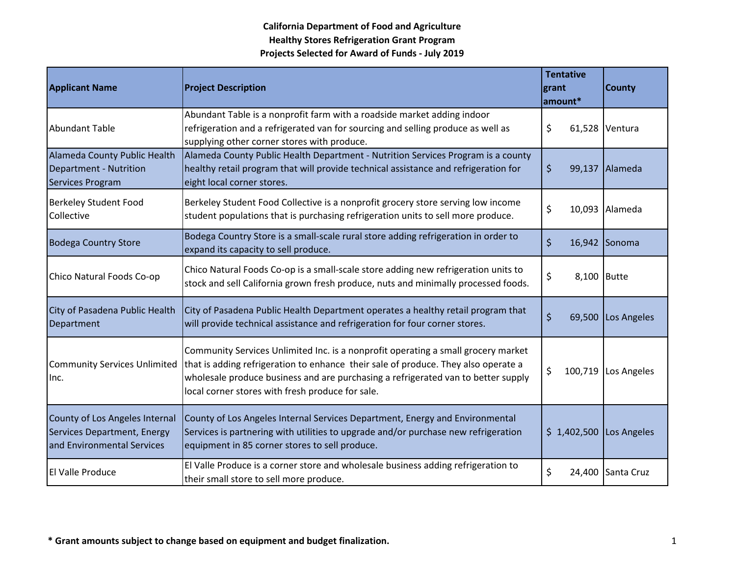| <b>Applicant Name</b>                                                                       | <b>Project Description</b>                                                                                                                                                                                                                                                                                       | <b>Tentative</b><br>grant<br>amount* | <b>County</b>  |
|---------------------------------------------------------------------------------------------|------------------------------------------------------------------------------------------------------------------------------------------------------------------------------------------------------------------------------------------------------------------------------------------------------------------|--------------------------------------|----------------|
| <b>Abundant Table</b>                                                                       | Abundant Table is a nonprofit farm with a roadside market adding indoor<br>refrigeration and a refrigerated van for sourcing and selling produce as well as<br>supplying other corner stores with produce.                                                                                                       | \$                                   | 61,528 Ventura |
| Alameda County Public Health<br>Department - Nutrition<br>Services Program                  | Alameda County Public Health Department - Nutrition Services Program is a county<br>healthy retail program that will provide technical assistance and refrigeration for<br>eight local corner stores.                                                                                                            | \$<br>99,137                         | <b>Alameda</b> |
| <b>Berkeley Student Food</b><br>Collective                                                  | Berkeley Student Food Collective is a nonprofit grocery store serving low income<br>student populations that is purchasing refrigeration units to sell more produce.                                                                                                                                             | \$                                   | 10,093 Alameda |
| <b>Bodega Country Store</b>                                                                 | Bodega Country Store is a small-scale rural store adding refrigeration in order to<br>expand its capacity to sell produce.                                                                                                                                                                                       | \$<br>16,942                         | Sonoma         |
| Chico Natural Foods Co-op                                                                   | Chico Natural Foods Co-op is a small-scale store adding new refrigeration units to<br>stock and sell California grown fresh produce, nuts and minimally processed foods.                                                                                                                                         | \$<br>8,100 Butte                    |                |
| City of Pasadena Public Health<br>Department                                                | City of Pasadena Public Health Department operates a healthy retail program that<br>will provide technical assistance and refrigeration for four corner stores.                                                                                                                                                  | \$<br>69,500                         | Los Angeles    |
| <b>Community Services Unlimited</b><br>Inc.                                                 | Community Services Unlimited Inc. is a nonprofit operating a small grocery market<br>that is adding refrigeration to enhance their sale of produce. They also operate a<br>wholesale produce business and are purchasing a refrigerated van to better supply<br>local corner stores with fresh produce for sale. | \$<br>100,719                        | Los Angeles    |
| County of Los Angeles Internal<br>Services Department, Energy<br>and Environmental Services | County of Los Angeles Internal Services Department, Energy and Environmental<br>Services is partnering with utilities to upgrade and/or purchase new refrigeration<br>equipment in 85 corner stores to sell produce.                                                                                             | \$1,402,500                          | Los Angeles    |
| El Valle Produce                                                                            | El Valle Produce is a corner store and wholesale business adding refrigeration to<br>their small store to sell more produce.                                                                                                                                                                                     | \$<br>24,400                         | Santa Cruz     |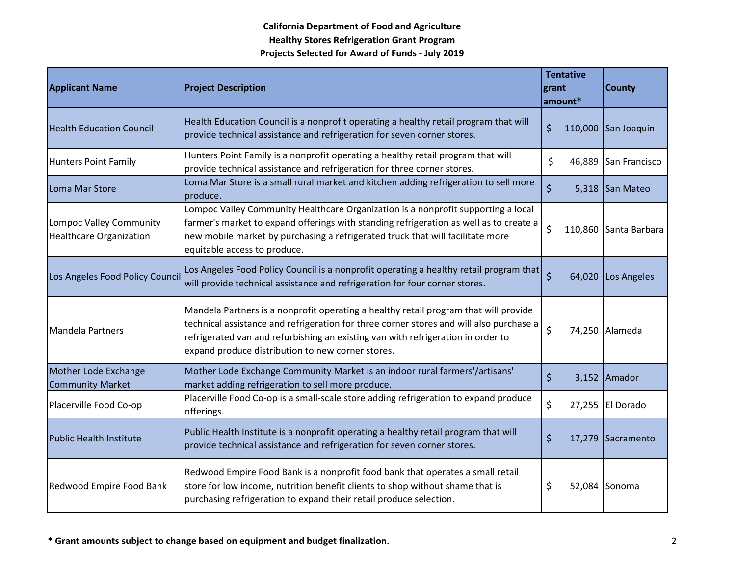| <b>Applicant Name</b>                                     | <b>Project Description</b>                                                                                                                                                                                                                                                                                               | grant   | <b>Tentative</b><br>amount* | <b>County</b>         |
|-----------------------------------------------------------|--------------------------------------------------------------------------------------------------------------------------------------------------------------------------------------------------------------------------------------------------------------------------------------------------------------------------|---------|-----------------------------|-----------------------|
| <b>Health Education Council</b>                           | Health Education Council is a nonprofit operating a healthy retail program that will<br>provide technical assistance and refrigeration for seven corner stores.                                                                                                                                                          | \$      | 110,000                     | San Joaquin           |
| <b>Hunters Point Family</b>                               | Hunters Point Family is a nonprofit operating a healthy retail program that will<br>provide technical assistance and refrigeration for three corner stores.                                                                                                                                                              | \$      | 46,889                      | San Francisco         |
| Loma Mar Store                                            | Loma Mar Store is a small rural market and kitchen adding refrigeration to sell more<br>produce.                                                                                                                                                                                                                         | \$      |                             | 5,318 San Mateo       |
| Lompoc Valley Community<br><b>Healthcare Organization</b> | Lompoc Valley Community Healthcare Organization is a nonprofit supporting a local<br>farmer's market to expand offerings with standing refrigeration as well as to create a<br>new mobile market by purchasing a refrigerated truck that will facilitate more<br>equitable access to produce.                            | \$      |                             | 110,860 Santa Barbara |
| Los Angeles Food Policy Council                           | Los Angeles Food Policy Council is a nonprofit operating a healthy retail program that<br>will provide technical assistance and refrigeration for four corner stores.                                                                                                                                                    | $\zeta$ | 64,020                      | Los Angeles           |
| Mandela Partners                                          | Mandela Partners is a nonprofit operating a healthy retail program that will provide<br>technical assistance and refrigeration for three corner stores and will also purchase a<br>refrigerated van and refurbishing an existing van with refrigeration in order to<br>expand produce distribution to new corner stores. | \$      |                             | 74,250 Alameda        |
| Mother Lode Exchange<br><b>Community Market</b>           | Mother Lode Exchange Community Market is an indoor rural farmers'/artisans'<br>market adding refrigeration to sell more produce.                                                                                                                                                                                         | \$      | 3,152                       | Amador                |
| Placerville Food Co-op                                    | Placerville Food Co-op is a small-scale store adding refrigeration to expand produce<br>offerings.                                                                                                                                                                                                                       | \$      |                             | 27,255 El Dorado      |
| <b>Public Health Institute</b>                            | Public Health Institute is a nonprofit operating a healthy retail program that will<br>provide technical assistance and refrigeration for seven corner stores.                                                                                                                                                           | \$      | 17,279                      | Sacramento            |
| Redwood Empire Food Bank                                  | Redwood Empire Food Bank is a nonprofit food bank that operates a small retail<br>store for low income, nutrition benefit clients to shop without shame that is<br>purchasing refrigeration to expand their retail produce selection.                                                                                    | \$      |                             | 52,084 Sonoma         |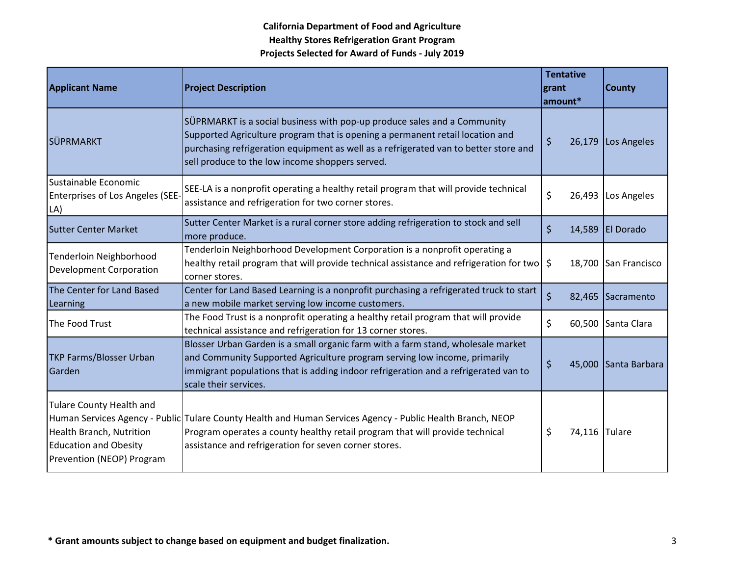| <b>Applicant Name</b>                                                                                                    | <b>Project Description</b>                                                                                                                                                                                                                                                                           | <b>Tentative</b><br>grant<br>amount* | <b>County</b>        |
|--------------------------------------------------------------------------------------------------------------------------|------------------------------------------------------------------------------------------------------------------------------------------------------------------------------------------------------------------------------------------------------------------------------------------------------|--------------------------------------|----------------------|
| SÜPRMARKT                                                                                                                | SÜPRMARKT is a social business with pop-up produce sales and a Community<br>Supported Agriculture program that is opening a permanent retail location and<br>purchasing refrigeration equipment as well as a refrigerated van to better store and<br>sell produce to the low income shoppers served. | \$<br>26,179                         | Los Angeles          |
| Sustainable Economic<br>Enterprises of Los Angeles (SEE-<br>LA)                                                          | SEE-LA is a nonprofit operating a healthy retail program that will provide technical<br>assistance and refrigeration for two corner stores.                                                                                                                                                          | \$                                   | 26,493 Los Angeles   |
| <b>Sutter Center Market</b>                                                                                              | Sutter Center Market is a rural corner store adding refrigeration to stock and sell<br>more produce.                                                                                                                                                                                                 | \$                                   | 14,589 El Dorado     |
| Tenderloin Neighborhood<br><b>Development Corporation</b>                                                                | Tenderloin Neighborhood Development Corporation is a nonprofit operating a<br>healthy retail program that will provide technical assistance and refrigeration for two<br>corner stores.                                                                                                              | \$                                   | 18,700 San Francisco |
| The Center for Land Based<br>Learning                                                                                    | Center for Land Based Learning is a nonprofit purchasing a refrigerated truck to start<br>a new mobile market serving low income customers.                                                                                                                                                          | $\zeta$                              | 82,465 Sacramento    |
| The Food Trust                                                                                                           | The Food Trust is a nonprofit operating a healthy retail program that will provide<br>technical assistance and refrigeration for 13 corner stores.                                                                                                                                                   | \$                                   | 60,500 Santa Clara   |
| <b>TKP Farms/Blosser Urban</b><br>Garden                                                                                 | Blosser Urban Garden is a small organic farm with a farm stand, wholesale market<br>and Community Supported Agriculture program serving low income, primarily<br>immigrant populations that is adding indoor refrigeration and a refrigerated van to<br>scale their services.                        | $\zeta$                              | 45,000 Santa Barbara |
| <b>Tulare County Health and</b><br>Health Branch, Nutrition<br><b>Education and Obesity</b><br>Prevention (NEOP) Program | Human Services Agency - Public Tulare County Health and Human Services Agency - Public Health Branch, NEOP<br>Program operates a county healthy retail program that will provide technical<br>assistance and refrigeration for seven corner stores.                                                  | \$<br>74,116 Tulare                  |                      |